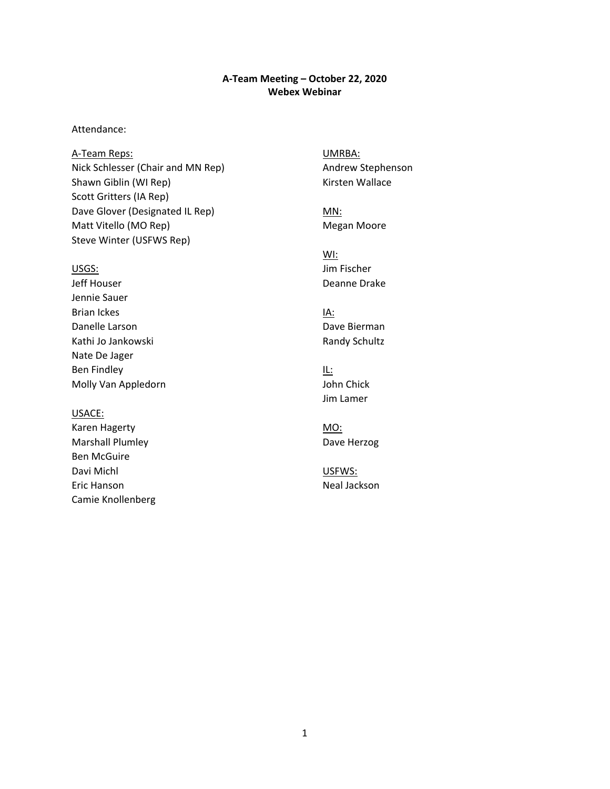#### **A-Team Meeting – October 22, 2020 Webex Webinar**

#### Attendance:

Dave Glover (Designated IL Rep) MN: A-Team Reps: UMRBA: Nick Schlesser (Chair and MN Rep) Andrew Stephenson Shawn Giblin (WI Rep) Manus (Kirsten Wallace Scott Gritters (IA Rep) Matt Vitello (MO Rep) Megan Moore Steve Winter (USFWS Rep)

Jeff Houser **Deanne Drake** Jennie Sauer Brian Ickes **IA:** IA: Danelle Larson **Dave Bierman** Kathi Jo Jankowski **Randy Schultz** Randy Schultz Nate De Jager Ben Findley **IL:** Molly Van Appledorn and John Chick

#### USACE:

 Camie Knollenberg Karen Hagerty MO: Marshall Plumley **Dave Herzog** Ben McGuire Davi Michl **USFWS:** Eric Hanson Neal Jackson

WI: USGS: Jim Fischer

Jim Lamer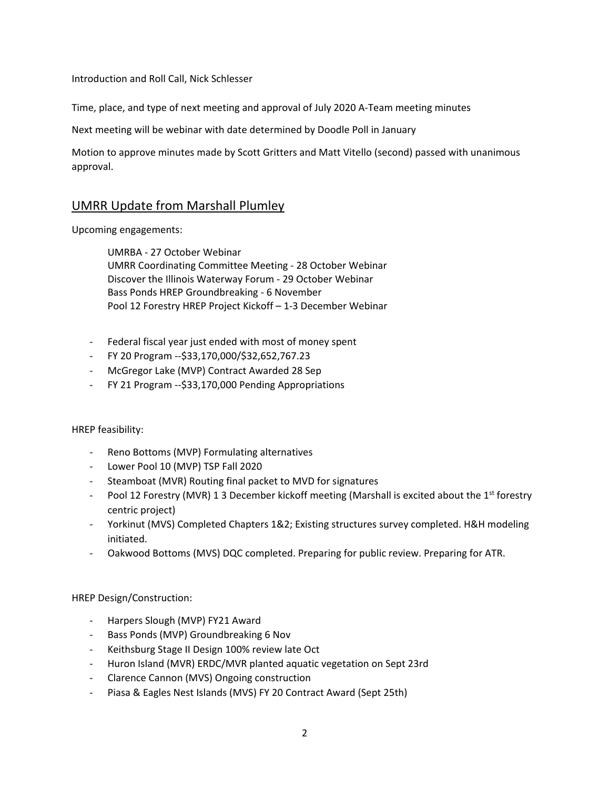Introduction and Roll Call, Nick Schlesser

Time, place, and type of next meeting and approval of July 2020 A-Team meeting minutes

Next meeting will be webinar with date determined by Doodle Poll in January

Motion to approve minutes made by Scott Gritters and Matt Vitello (second) passed with unanimous approval.

# UMRR Update from Marshall Plumley

Upcoming engagements:

UMRBA - 27 October Webinar UMRR Coordinating Committee Meeting - 28 October Webinar Discover the Illinois Waterway Forum - 29 October Webinar Bass Ponds HREP Groundbreaking - 6 November Pool 12 Forestry HREP Project Kickoff – 1-3 December Webinar

- Federal fiscal year just ended with most of money spent
- FY 20 Program --\$[33,170,000/\\$32,652,767.23](https://33,170,000/$32,652,767.23)
- McGregor Lake (MVP) Contract Awarded 28 Sep
- FY 21 Program --\$33,170,000 Pending Appropriations

#### HREP feasibility:

- Reno Bottoms (MVP) Formulating alternatives
- Lower Pool 10 (MVP) TSP Fall 2020
- Steamboat (MVR) Routing final packet to MVD for signatures
- Pool 12 Forestry (MVR) 1 3 December kickoff meeting (Marshall is excited about the 1<sup>st</sup> forestry centric project)
- Yorkinut (MVS) Completed Chapters 1&2; Existing structures survey completed. H&H modeling initiated.
- Oakwood Bottoms (MVS) DQC completed. Preparing for public review. Preparing for ATR.

HREP Design/Construction:

- Harpers Slough (MVP) FY21 Award
- Bass Ponds (MVP) Groundbreaking 6 Nov
- Keithsburg Stage II Design 100% review late Oct
- Huron Island (MVR) ERDC/MVR planted aquatic vegetation on Sept 23rd
- Clarence Cannon (MVS) Ongoing construction
- Piasa & Eagles Nest Islands (MVS) FY 20 Contract Award (Sept 25th)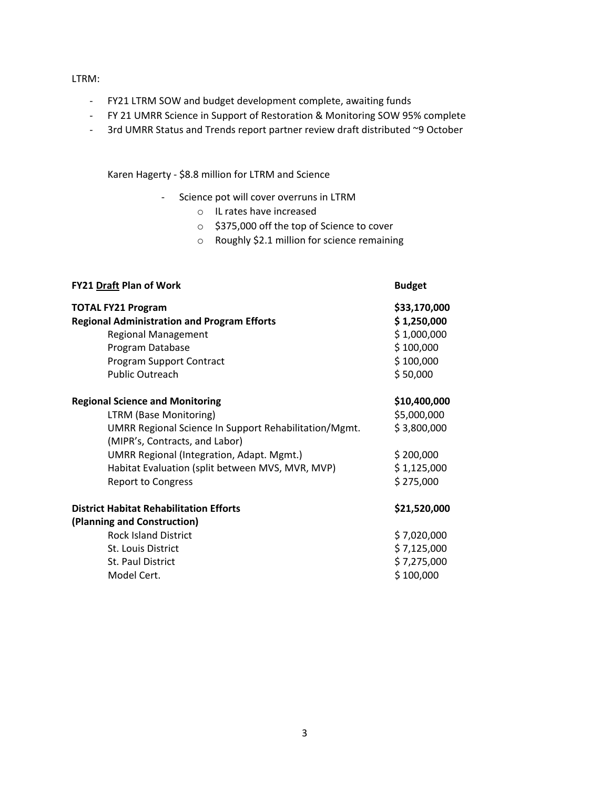#### LTRM:

- FY21 LTRM SOW and budget development complete, awaiting funds
- FY 21 UMRR Science in Support of Restoration & Monitoring SOW 95% complete
- 3rd UMRR Status and Trends report partner review draft distributed ~9 October

Karen Hagerty - \$8.8 million for LTRM and Science

- Science pot will cover overruns in LTRM
	- o IL rates have increased
	- o \$375,000 off the top of Science to cover
	- o Roughly \$2.1 million for science remaining

| <b>Budget</b>                                                                       |
|-------------------------------------------------------------------------------------|
| \$33,170,000<br>\$1,250,000<br>\$1,000,000<br>\$100,000<br>\$100,000<br>\$50,000    |
| \$10,400,000<br>\$5,000,000<br>\$3,800,000<br>\$200,000<br>\$1,125,000<br>\$275,000 |
| \$21,520,000                                                                        |
| \$7,020,000<br>\$7,125,000<br>\$7,275,000<br>\$100,000                              |
|                                                                                     |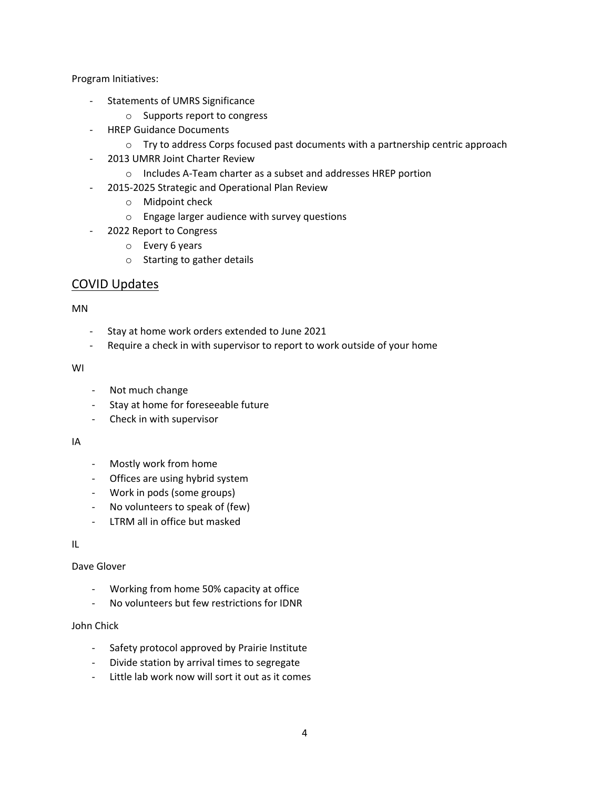Program Initiatives:

- Statements of UMRS Significance
	- o Supports report to congress
- HREP Guidance Documents
	- $\circ$  Try to address Corps focused past documents with a partnership centric approach
- 2013 UMRR Joint Charter Review
	- o Includes A-Team charter as a subset and addresses HREP portion
- 2015-2025 Strategic and Operational Plan Review
	- o Midpoint check
	- o Engage larger audience with survey questions
- 2022 Report to Congress
	- o Every 6 years
	- o Starting to gather details

# COVID Updates

#### MN

- Stay at home work orders extended to June 2021
- Require a check in with supervisor to report to work outside of your home

#### WI

- Not much change
- Stay at home for foreseeable future
- Check in with supervisor

#### IA

- Mostly work from home
- Offices are using hybrid system
- Work in pods (some groups)
- No volunteers to speak of (few)
- LTRM all in office but masked

#### IL

# Dave Glover

- Working from home 50% capacity at office
- No volunteers but few restrictions for IDNR

#### John Chick

- Safety protocol approved by Prairie Institute
- Divide station by arrival times to segregate
- Little lab work now will sort it out as it comes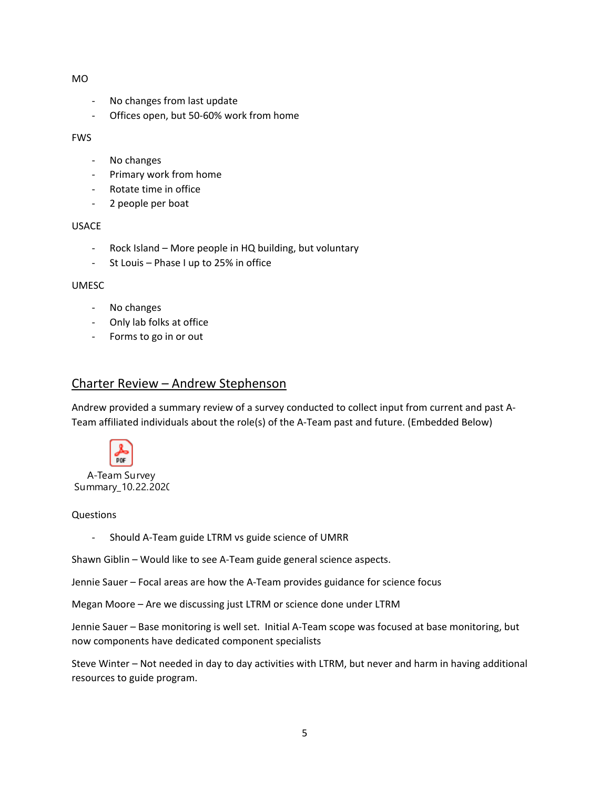#### MO

- No changes from last update
- Offices open, but 50-60% work from home

FWS

- No changes
- Primary work from home
- Rotate time in office
- 2 people per boat

#### USACE

- Rock Island More people in HQ building, but voluntary
- St Louis Phase I up to 25% in office

#### UMESC

- No changes
- Only lab folks at office
- Forms to go in or out

# Charter Review – Andrew Stephenson

Andrew provided a summary review of a survey conducted to collect input from current and past A-Team affiliated individuals about the role(s) of the A-Team past and future. (Embedded Below)



Summary\_10.22.2020

#### Questions

- Should A-Team guide LTRM vs guide science of UMRR

Shawn Giblin – Would like to see A-Team guide general science aspects.

Jennie Sauer – Focal areas are how the A-Team provides guidance for science focus

Megan Moore – Are we discussing just LTRM or science done under LTRM

Jennie Sauer – Base monitoring is well set. Initial A-Team scope was focused at base monitoring, but now components have dedicated component specialists

 Steve Winter – Not needed in day to day activities with LTRM, but never and harm in having additional resources to guide program.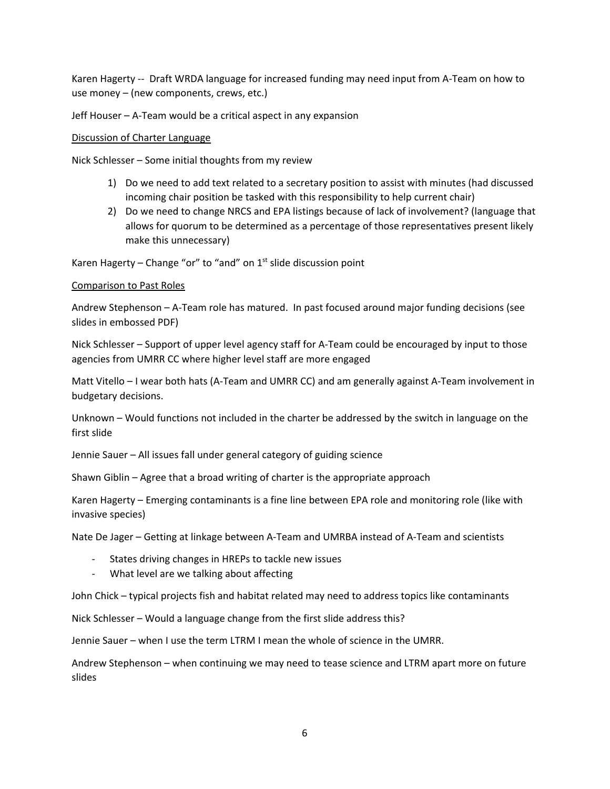Karen Hagerty -- Draft WRDA language for increased funding may need input from A-Team on how to use money – (new components, crews, etc.)

Jeff Houser – A-Team would be a critical aspect in any expansion

#### Discussion of Charter Language

Nick Schlesser – Some initial thoughts from my review

- 1) Do we need to add text related to a secretary position to assist with minutes (had discussed incoming chair position be tasked with this responsibility to help current chair)
- allows for quorum to be determined as a percentage of those representatives present likely 2) Do we need to change NRCS and EPA listings because of lack of involvement? (language that make this unnecessary)

Karen Hagerty – Change "or" to "and" on  $1<sup>st</sup>$  slide discussion point

### Comparison to Past Roles

Andrew Stephenson – A-Team role has matured. In past focused around major funding decisions (see slides in embossed PDF)

 agencies from UMRR CC where higher level staff are more engaged Nick Schlesser – Support of upper level agency staff for A-Team could be encouraged by input to those

Matt Vitello – I wear both hats (A-Team and UMRR CC) and am generally against A-Team involvement in budgetary decisions.

 Unknown – Would functions not included in the charter be addressed by the switch in language on the first slide

Jennie Sauer – All issues fall under general category of guiding science

Shawn Giblin – Agree that a broad writing of charter is the appropriate approach

 invasive species) Karen Hagerty – Emerging contaminants is a fine line between EPA role and monitoring role (like with

Nate De Jager – Getting at linkage between A-Team and UMRBA instead of A-Team and scientists

- States driving changes in HREPs to tackle new issues
- What level are we talking about affecting

John Chick – typical projects fish and habitat related may need to address topics like contaminants

Nick Schlesser – Would a language change from the first slide address this?

Jennie Sauer – when I use the term LTRM I mean the whole of science in the UMRR.

Andrew Stephenson – when continuing we may need to tease science and LTRM apart more on future slides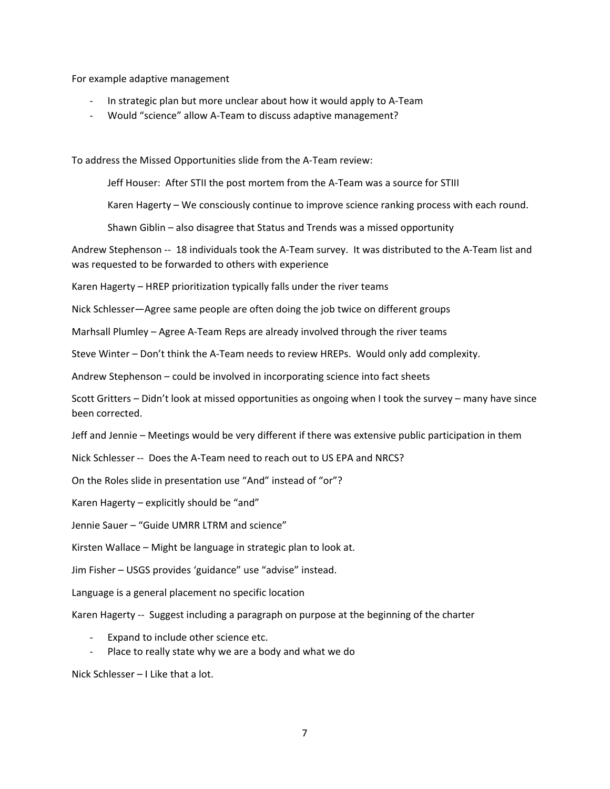For example adaptive management

- In strategic plan but more unclear about how it would apply to A-Team
- Would "science" allow A-Team to discuss adaptive management?

To address the Missed Opportunities slide from the A-Team review:

Jeff Houser: After STII the post mortem from the A-Team was a source for STIII

Karen Hagerty – We consciously continue to improve science ranking process with each round.

Shawn Giblin – also disagree that Status and Trends was a missed opportunity

 Andrew Stephenson -- 18 individuals took the A-Team survey. It was distributed to the A-Team list and was requested to be forwarded to others with experience

Karen Hagerty – HREP prioritization typically falls under the river teams

Nick Schlesser—Agree same people are often doing the job twice on different groups

Marhsall Plumley – Agree A-Team Reps are already involved through the river teams

Steve Winter – Don't think the A-Team needs to review HREPs. Would only add complexity.

Andrew Stephenson – could be involved in incorporating science into fact sheets

Scott Gritters – Didn't look at missed opportunities as ongoing when I took the survey – many have since been corrected.

Jeff and Jennie – Meetings would be very different if there was extensive public participation in them

Nick Schlesser -- Does the A-Team need to reach out to US EPA and NRCS?

On the Roles slide in presentation use "And" instead of "or"?

Karen Hagerty – explicitly should be "and"

Jennie Sauer – "Guide UMRR LTRM and science"

Kirsten Wallace – Might be language in strategic plan to look at.

Jim Fisher – USGS provides 'guidance" use "advise" instead.

Language is a general placement no specific location

Karen Hagerty -- Suggest including a paragraph on purpose at the beginning of the charter

- Expand to include other science etc.
- Place to really state why we are a body and what we do

Nick Schlesser – I Like that a lot.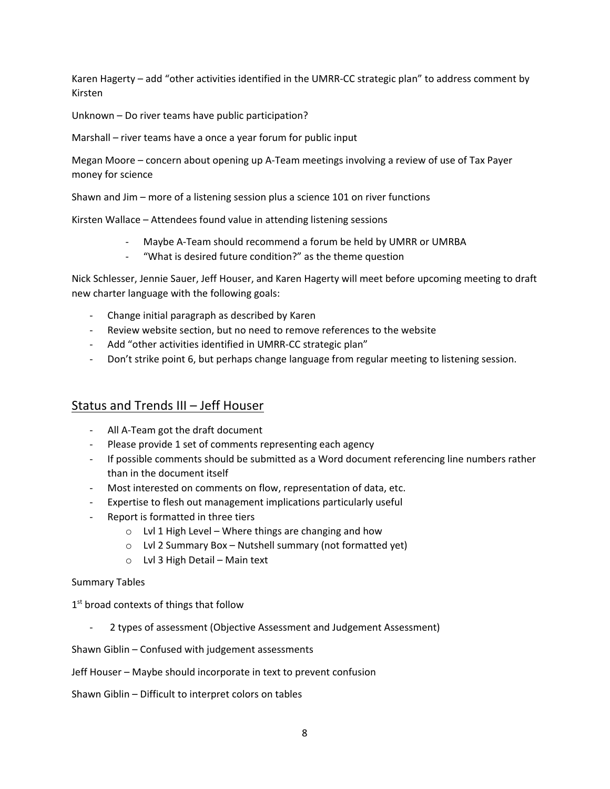Karen Hagerty – add "other activities identified in the UMRR-CC strategic plan" to address comment by Kirsten

Unknown – Do river teams have public participation?

Marshall – river teams have a once a year forum for public input

 Megan Moore – concern about opening up A-Team meetings involving a review of use of Tax Payer money for science

Shawn and Jim – more of a listening session plus a science 101 on river functions

Kirsten Wallace – Attendees found value in attending listening sessions

- Maybe A-Team should recommend a forum be held by UMRR or UMRBA
- "What is desired future condition?" as the theme question

 Nick Schlesser, Jennie Sauer, Jeff Houser, and Karen Hagerty will meet before upcoming meeting to draft new charter language with the following goals:

- Change initial paragraph as described by Karen
- Review website section, but no need to remove references to the website
- Add "other activities identified in UMRR-CC strategic plan"
- Don't strike point 6, but perhaps change language from regular meeting to listening session.

# Status and Trends III - Jeff Houser

- All A-Team got the draft document
- Please provide 1 set of comments representing each agency
- If possible comments should be submitted as a Word document referencing line numbers rather than in the document itself
- Most interested on comments on flow, representation of data, etc.
- Expertise to flesh out management implications particularly useful
- Report is formatted in three tiers
	- o Lvl 1 High Level Where things are changing and how
	- o Lvl 2 Summary Box Nutshell summary (not formatted yet)
	- o Lvl 3 High Detail Main text

#### Summary Tables

1<sup>st</sup> broad contexts of things that follow

2 types of assessment (Objective Assessment and Judgement Assessment)

Shawn Giblin – Confused with judgement assessments

Jeff Houser – Maybe should incorporate in text to prevent confusion

Shawn Giblin – Difficult to interpret colors on tables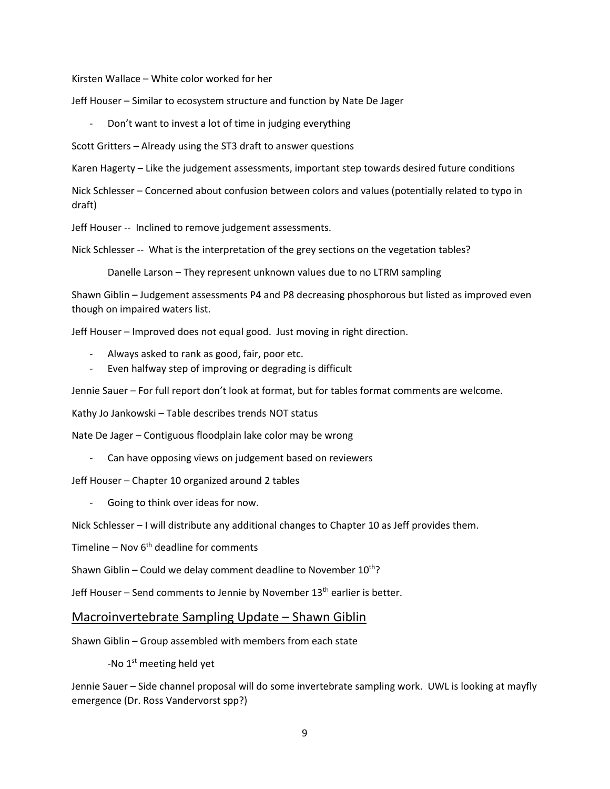Kirsten Wallace – White color worked for her

Jeff Houser – Similar to ecosystem structure and function by Nate De Jager

Don't want to invest a lot of time in judging everything

Scott Gritters – Already using the ST3 draft to answer questions

Karen Hagerty – Like the judgement assessments, important step towards desired future conditions

 Nick Schlesser – Concerned about confusion between colors and values (potentially related to typo in draft)

Jeff Houser -- Inclined to remove judgement assessments.

Nick Schlesser -- What is the interpretation of the grey sections on the vegetation tables?

Danelle Larson – They represent unknown values due to no LTRM sampling

Shawn Giblin – Judgement assessments P4 and P8 decreasing phosphorous but listed as improved even though on impaired waters list.

Jeff Houser – Improved does not equal good. Just moving in right direction.

- Always asked to rank as good, fair, poor etc.
- Even halfway step of improving or degrading is difficult

Jennie Sauer – For full report don't look at format, but for tables format comments are welcome.

Kathy Jo Jankowski – Table describes trends NOT status

Nate De Jager – Contiguous floodplain lake color may be wrong

- Can have opposing views on judgement based on reviewers

Jeff Houser – Chapter 10 organized around 2 tables

Going to think over ideas for now.

Nick Schlesser – I will distribute any additional changes to Chapter 10 as Jeff provides them.

Timeline – Nov 6<sup>th</sup> deadline for comments

Shawn Giblin – Could we delay comment deadline to November  $10^{th}$ ?

Jeff Houser – Send comments to Jennie by November 13<sup>th</sup> earlier is better.

#### Macroinvertebrate Sampling Update – Shawn Giblin

Shawn Giblin – Group assembled with members from each state

-No  $1<sup>st</sup>$  meeting held yet

Jennie Sauer – Side channel proposal will do some invertebrate sampling work. UWL is looking at mayfly emergence (Dr. Ross Vandervorst spp?)